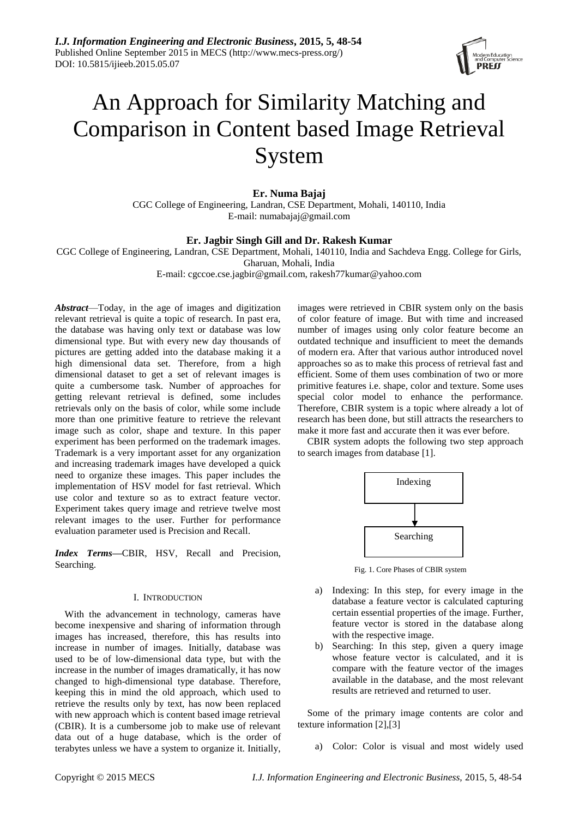

# An Approach for Similarity Matching and Comparison in Content based Image Retrieval System

**Er. Numa Bajaj** CGC College of Engineering, Landran, CSE Department, Mohali, 140110, India

E-mail: numabajaj@gmail.com

# **Er. Jagbir Singh Gill and Dr. Rakesh Kumar**

CGC College of Engineering, Landran, CSE Department, Mohali, 140110, India and Sachdeva Engg. College for Girls,

Gharuan, Mohali, India

E-mail: cgccoe.cse.jagbir@gmail.com, rakesh77kumar@yahoo.com

*Abstract*—Today, in the age of images and digitization relevant retrieval is quite a topic of research. In past era, the database was having only text or database was low dimensional type. But with every new day thousands of pictures are getting added into the database making it a high dimensional data set. Therefore, from a high dimensional dataset to get a set of relevant images is quite a cumbersome task. Number of approaches for getting relevant retrieval is defined, some includes retrievals only on the basis of color, while some include more than one primitive feature to retrieve the relevant image such as color, shape and texture. In this paper experiment has been performed on the trademark images. Trademark is a very important asset for any organization and increasing trademark images have developed a quick need to organize these images. This paper includes the implementation of HSV model for fast retrieval. Which use color and texture so as to extract feature vector. Experiment takes query image and retrieve twelve most relevant images to the user. Further for performance evaluation parameter used is Precision and Recall.

*Index Terms***—**CBIR, HSV, Recall and Precision, Searching.

## I. INTRODUCTION

With the advancement in technology, cameras have become inexpensive and sharing of information through images has increased, therefore, this has results into increase in number of images. Initially, database was used to be of low-dimensional data type, but with the increase in the number of images dramatically, it has now changed to high-dimensional type database. Therefore, keeping this in mind the old approach, which used to retrieve the results only by text, has now been replaced with new approach which is content based image retrieval (CBIR). It is a cumbersome job to make use of relevant data out of a huge database, which is the order of terabytes unless we have a system to organize it. Initially,

images were retrieved in CBIR system only on the basis of color feature of image. But with time and increased number of images using only color feature become an outdated technique and insufficient to meet the demands of modern era. After that various author introduced novel approaches so as to make this process of retrieval fast and efficient. Some of them uses combination of two or more primitive features i.e. shape, color and texture. Some uses special color model to enhance the performance. Therefore, CBIR system is a topic where already a lot of research has been done, but still attracts the researchers to make it more fast and accurate then it was ever before.

CBIR system adopts the following two step approach to search images from database [1].



Fig. 1. Core Phases of CBIR system

- a) Indexing: In this step, for every image in the database a feature vector is calculated capturing certain essential properties of the image. Further, feature vector is stored in the database along with the respective image.
- b) Searching: In this step, given a query image whose feature vector is calculated, and it is compare with the feature vector of the images available in the database, and the most relevant results are retrieved and returned to user.

Some of the primary image contents are color and texture information [2],[3]

a) Color: Color is visual and most widely used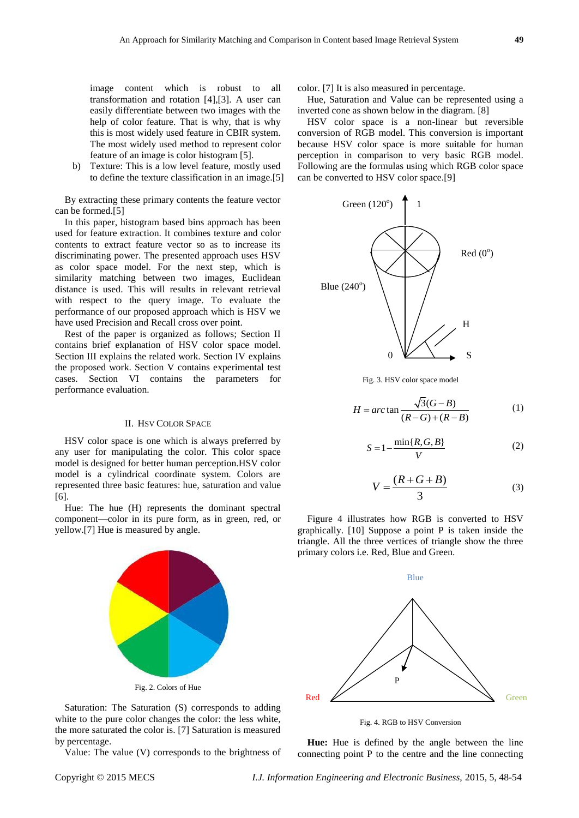image content which is robust to all transformation and rotation [4],[3]. A user can easily differentiate between two images with the help of color feature. That is why, that is why this is most widely used feature in CBIR system. The most widely used method to represent color feature of an image is color histogram [5].

b) Texture: This is a low level feature, mostly used to define the texture classification in an image.[5]

By extracting these primary contents the feature vector can be formed.[5]

In this paper, histogram based bins approach has been used for feature extraction. It combines texture and color contents to extract feature vector so as to increase its discriminating power. The presented approach uses HSV as color space model. For the next step, which is similarity matching between two images, Euclidean distance is used. This will results in relevant retrieval with respect to the query image. To evaluate the performance of our proposed approach which is HSV we have used Precision and Recall cross over point.

Rest of the paper is organized as follows; Section II contains brief explanation of HSV color space model. Section III explains the related work. Section IV explains the proposed work. Section V contains experimental test cases. Section VI contains the parameters for performance evaluation.

## II. HSV COLOR SPACE

HSV color space is one which is always preferred by any user for manipulating the color. This color space model is designed for better human perception.HSV color model is a cylindrical coordinate system. Colors are represented three basic features: hue, saturation and value [6].

Hue: The hue (H) represents the dominant spectral component—color in its pure form, as in green, red, or yellow.[7] Hue is measured by angle.



Saturation: The Saturation (S) corresponds to adding white to the pure color changes the color: the less white, the more saturated the color is. [7] Saturation is measured by percentage.

Value: The value (V) corresponds to the brightness of

color. [7] It is also measured in percentage.

Hue, Saturation and Value can be represented using a inverted cone as shown below in the diagram. [8]

HSV color space is a non-linear but reversible conversion of RGB model. This conversion is important because HSV color space is more suitable for human perception in comparison to very basic RGB model. Following are the formulas using which RGB color space can be converted to HSV color space.[9]



Fig. 3. HSV color space model

$$
H = arc \tan \frac{\sqrt{3}(G-B)}{(R-G) + (R-B)}
$$
 (1)

$$
S = 1 - \frac{\min\{R, G, B\}}{V}
$$
 (2)

$$
V = \frac{(R+G+B)}{3} \tag{3}
$$

Figure 4 illustrates how RGB is converted to HSV graphically. [10] Suppose a point P is taken inside the triangle. All the three vertices of triangle show the three primary colors i.e. Red, Blue and Green.



Fig. 4. RGB to HSV Conversion

**Hue:** Hue is defined by the angle between the line connecting point P to the centre and the line connecting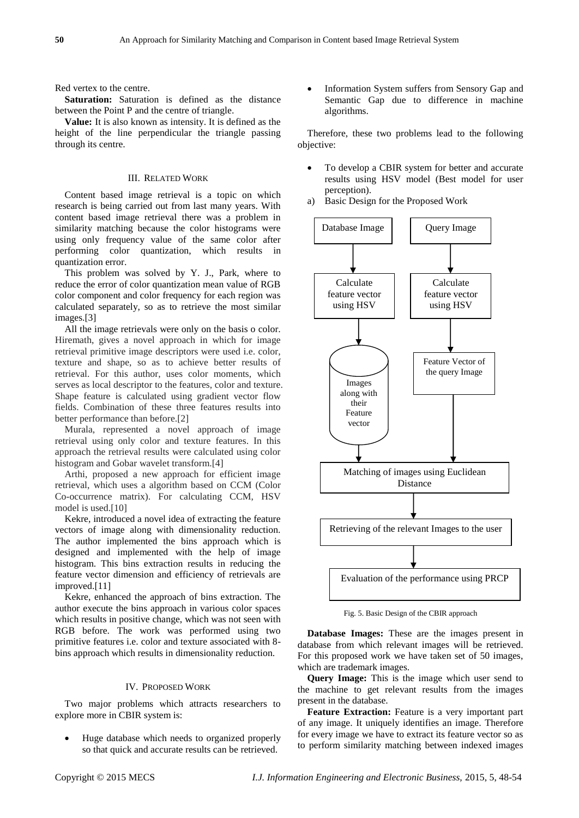Red vertex to the centre.

**Saturation:** Saturation is defined as the distance between the Point P and the centre of triangle.

**Value:** It is also known as intensity. It is defined as the height of the line perpendicular the triangle passing through its centre.

## III. RELATED WORK

Content based image retrieval is a topic on which research is being carried out from last many years. With content based image retrieval there was a problem in similarity matching because the color histograms were using only frequency value of the same color after performing color quantization, which results in quantization error.

This problem was solved by Y. J., Park, where to reduce the error of color quantization mean value of RGB color component and color frequency for each region was calculated separately, so as to retrieve the most similar images.[3]

All the image retrievals were only on the basis o color. Hiremath, gives a novel approach in which for image retrieval primitive image descriptors were used i.e. color, texture and shape, so as to achieve better results of retrieval. For this author, uses color moments, which serves as local descriptor to the features, color and texture. Shape feature is calculated using gradient vector flow fields. Combination of these three features results into better performance than before.[2]

Murala, represented a novel approach of image retrieval using only color and texture features. In this approach the retrieval results were calculated using color histogram and Gobar wavelet transform.[4]

Arthi, proposed a new approach for efficient image retrieval, which uses a algorithm based on CCM (Color Co-occurrence matrix). For calculating CCM, HSV model is used.[10]

Kekre, introduced a novel idea of extracting the feature vectors of image along with dimensionality reduction. The author implemented the bins approach which is designed and implemented with the help of image histogram. This bins extraction results in reducing the feature vector dimension and efficiency of retrievals are improved.[11]

Kekre, enhanced the approach of bins extraction. The author execute the bins approach in various color spaces which results in positive change, which was not seen with RGB before. The work was performed using two primitive features i.e. color and texture associated with 8 bins approach which results in dimensionality reduction.

#### IV. PROPOSED WORK

Two major problems which attracts researchers to explore more in CBIR system is:

 Huge database which needs to organized properly so that quick and accurate results can be retrieved.

 Information System suffers from Sensory Gap and Semantic Gap due to difference in machine algorithms.

Therefore, these two problems lead to the following objective:

- To develop a CBIR system for better and accurate results using HSV model (Best model for user perception).
- a) Basic Design for the Proposed Work



Fig. 5. Basic Design of the CBIR approach

**Database Images:** These are the images present in database from which relevant images will be retrieved. For this proposed work we have taken set of 50 images, which are trademark images.

**Query Image:** This is the image which user send to the machine to get relevant results from the images present in the database.

**Feature Extraction:** Feature is a very important part of any image. It uniquely identifies an image. Therefore for every image we have to extract its feature vector so as to perform similarity matching between indexed images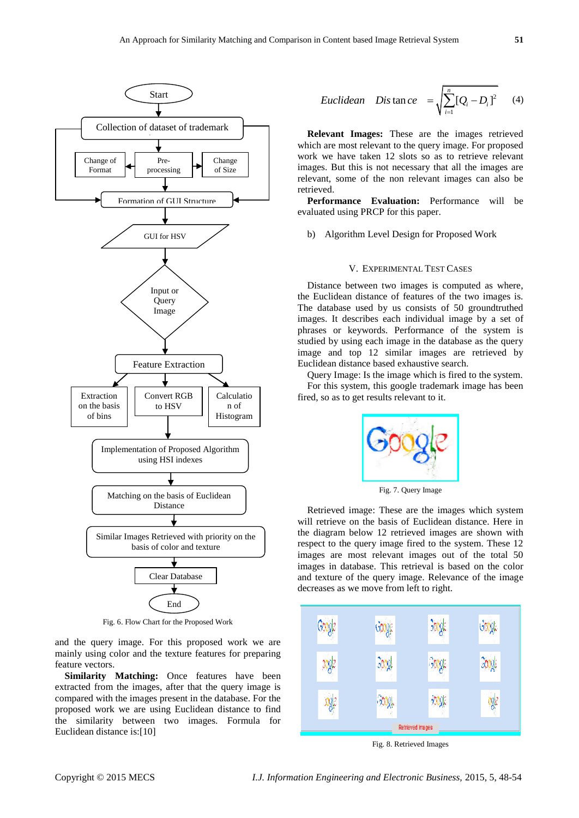

Fig. 6. Flow Chart for the Proposed Work

and the query image. For this proposed work we are mainly using color and the texture features for preparing feature vectors.

**Similarity Matching:** Once features have been extracted from the images, after that the query image is compared with the images present in the database. For the proposed work we are using Euclidean distance to find the similarity between two images. Formula for Euclidean distance is:[10]

*Euclidean Dis* 
$$
\tan ce = \sqrt{\sum_{i=1}^{n} [Q_i - D_i]^2}
$$
 (4)

**Relevant Images:** These are the images retrieved which are most relevant to the query image. For proposed work we have taken 12 slots so as to retrieve relevant images. But this is not necessary that all the images are relevant, some of the non relevant images can also be retrieved.

**Performance Evaluation:** Performance will be evaluated using PRCP for this paper.

b) Algorithm Level Design for Proposed Work

#### V. EXPERIMENTAL TEST CASES

Distance between two images is computed as where, the Euclidean distance of features of the two images is. The database used by us consists of 50 groundtruthed images. It describes each individual image by a set of phrases or keywords. Performance of the system is studied by using each image in the database as the query image and top 12 similar images are retrieved by Euclidean distance based exhaustive search.

Query Image: Is the image which is fired to the system. For this system, this google trademark image has been fired, so as to get results relevant to it.



Fig. 7. Query Image

Retrieved image: These are the images which system will retrieve on the basis of Euclidean distance. Here in the diagram below 12 retrieved images are shown with respect to the query image fired to the system. These 12 images are most relevant images out of the total 50 images in database. This retrieval is based on the color and texture of the query image. Relevance of the image decreases as we move from left to right.



Fig. 8. Retrieved Images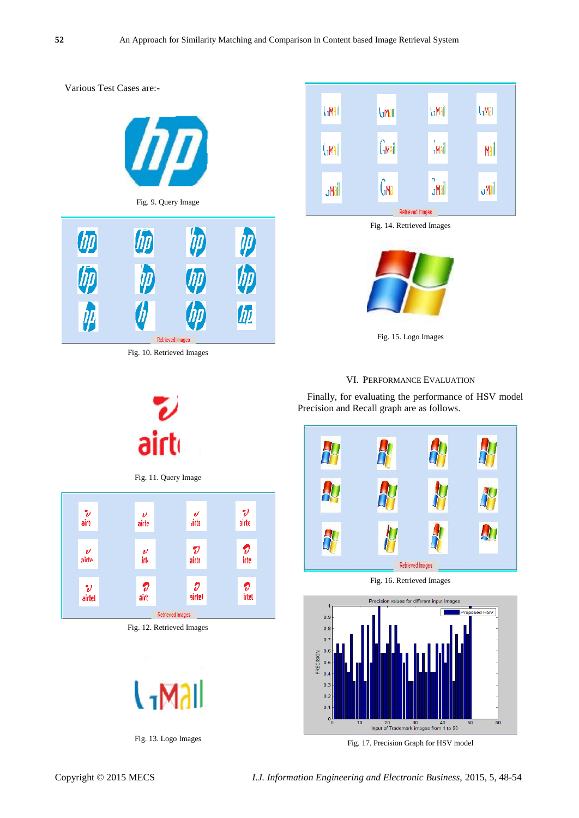

Fig. 10. Retrieved Images

Fig. 11. Query Image

 $\overline{\nu}$ 

iirte

 $\overline{v}$ 

airte

D

airtel

 $\boldsymbol{v}$ 

airte

Ø

irte

O

irtet

airtí

v

airte

 $\overline{\nu}$ irt

O

airt

Fig. 12. Retrieved Images

Retrieved Images

Fig. 13. Logo Images

 $\mathsf{L}_1$ Mall



Fig. 14. Retrieved Images



Fig. 15. Logo Images

# VI. PERFORMANCE EVALUATION

Finally, for evaluating the performance of HSV model Precision and Recall graph are as follows.



Fig. 16. Retrieved Images



Fig. 17. Precision Graph for HSV model

V

airt

 $\overline{\nu}$ 

airte

 $\boldsymbol{v}$ 

airtel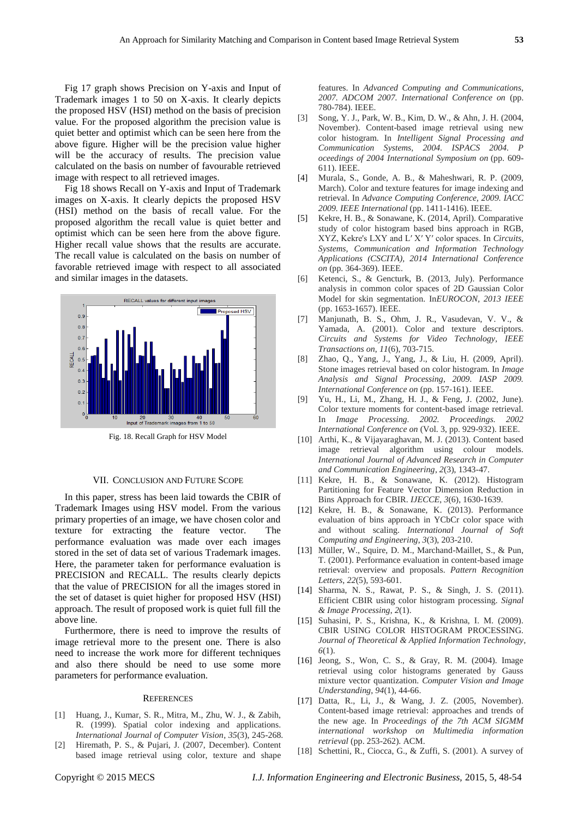Fig 17 graph shows Precision on Y-axis and Input of Trademark images 1 to 50 on X-axis. It clearly depicts the proposed HSV (HSI) method on the basis of precision value. For the proposed algorithm the precision value is quiet better and optimist which can be seen here from the above figure. Higher will be the precision value higher will be the accuracy of results. The precision value calculated on the basis on number of favourable retrieved image with respect to all retrieved images.

Fig 18 shows Recall on Y-axis and Input of Trademark images on X-axis. It clearly depicts the proposed HSV (HSI) method on the basis of recall value. For the proposed algorithm the recall value is quiet better and optimist which can be seen here from the above figure. Higher recall value shows that the results are accurate. The recall value is calculated on the basis on number of favorable retrieved image with respect to all associated and similar images in the datasets.



Fig. 18. Recall Graph for HSV Model

#### VII. CONCLUSION AND FUTURE SCOPE

In this paper, stress has been laid towards the CBIR of Trademark Images using HSV model. From the various primary properties of an image, we have chosen color and texture for extracting the feature vector. The performance evaluation was made over each images stored in the set of data set of various Trademark images. Here, the parameter taken for performance evaluation is PRECISION and RECALL. The results clearly depicts that the value of PRECISION for all the images stored in the set of dataset is quiet higher for proposed HSV (HSI) approach. The result of proposed work is quiet full fill the above line.

Furthermore, there is need to improve the results of image retrieval more to the present one. There is also need to increase the work more for different techniques and also there should be need to use some more parameters for performance evaluation.

#### **REFERENCES**

- [1] Huang, J., Kumar, S. R., Mitra, M., Zhu, W. J., & Zabih, R. (1999). Spatial color indexing and applications. *International Journal of Computer Vision*, *35*(3), 245-268.
- [2] Hiremath, P. S., & Pujari, J. (2007, December). Content based image retrieval using color, texture and shape

features. In *Advanced Computing and Communications, 2007. ADCOM 2007. International Conference on* (pp. 780-784). IEEE.

- [3] Song, Y. J., Park, W. B., Kim, D. W., & Ahn, J. H. (2004, November). Content-based image retrieval using new color histogram. In *Intelligent Signal Processing and Communication Systems, 2004. ISPACS 2004. P oceedings of 2004 International Symposium on* (pp. 609- 611). IEEE.
- [4] Murala, S., Gonde, A. B., & Maheshwari, R. P. (2009, March). Color and texture features for image indexing and retrieval. In *Advance Computing Conference, 2009. IACC 2009. IEEE International* (pp. 1411-1416). IEEE.
- [5] Kekre, H. B., & Sonawane, K. (2014, April). Comparative study of color histogram based bins approach in RGB, XYZ, Kekre's LXY and L′ X′ Y′ color spaces. In *Circuits, Systems, Communication and Information Technology Applications (CSCITA), 2014 International Conference on* (pp. 364-369). IEEE.
- [6] Ketenci, S., & Gencturk, B. (2013, July). Performance analysis in common color spaces of 2D Gaussian Color Model for skin segmentation. In*EUROCON, 2013 IEEE* (pp. 1653-1657). IEEE.
- [7] Manjunath, B. S., Ohm, J. R., Vasudevan, V. V., & Yamada, A. (2001). Color and texture descriptors. *Circuits and Systems for Video Technology, IEEE Transactions on*, *11*(6), 703-715.
- [8] Zhao, Q., Yang, J., Yang, J., & Liu, H. (2009, April). Stone images retrieval based on color histogram. In *Image Analysis and Signal Processing, 2009. IASP 2009. International Conference on* (pp. 157-161). IEEE.
- [9] Yu, H., Li, M., Zhang, H. J., & Feng, J. (2002, June). Color texture moments for content-based image retrieval. In *Image Processing. 2002. Proceedings. 2002 International Conference on* (Vol. 3, pp. 929-932). IEEE.
- [10] Arthi, K., & Vijayaraghavan, M. J. (2013). Content based image retrieval algorithm using colour models. *International Journal of Advanced Research in Computer and Communication Engineering*, *2*(3), 1343-47.
- [11] Kekre, H. B., & Sonawane, K. (2012). Histogram Partitioning for Feature Vector Dimension Reduction in Bins Approach for CBIR. *IJECCE*, *3*(6), 1630-1639.
- [12] Kekre, H. B., & Sonawane, K. (2013). Performance evaluation of bins approach in YCbCr color space with and without scaling. *International Journal of Soft Computing and Engineering*, *3*(3), 203-210.
- [13] Müller, W., Squire, D. M., Marchand-Maillet, S., & Pun, T. (2001). Performance evaluation in content-based image retrieval: overview and proposals. *Pattern Recognition Letters*, *22*(5), 593-601.
- [14] Sharma, N. S., Rawat, P. S., & Singh, J. S. (2011). Efficient CBIR using color histogram processing. *Signal & Image Processing*, *2*(1).
- [15] Suhasini, P. S., Krishna, K., & Krishna, I. M. (2009). CBIR USING COLOR HISTOGRAM PROCESSING. *Journal of Theoretical & Applied Information Technology*, *6*(1).
- [16] Jeong, S., Won, C. S., & Gray, R. M. (2004). Image retrieval using color histograms generated by Gauss mixture vector quantization. *Computer Vision and Image Understanding*, *94*(1), 44-66.
- [17] Datta, R., Li, J., & Wang, J. Z. (2005, November). Content-based image retrieval: approaches and trends of the new age. In *Proceedings of the 7th ACM SIGMM international workshop on Multimedia information retrieval* (pp. 253-262). ACM.
- [18] Schettini, R., Ciocca, G., & Zuffi, S. (2001). A survey of